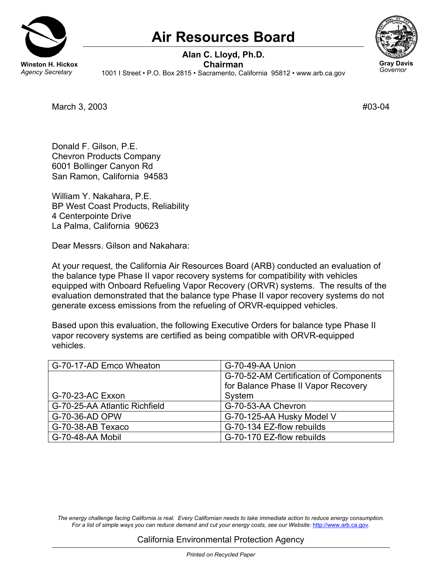

## **Air Resources Board**

**Alan C. Lloyd, Ph.D. Winston H. Hickox**<br>*Agency Secretary* 1001 | Street • P.O. Box 2815 • Sacramento, Ca *Agency Secretary* 1001 I Street • P.O. Box 2815 • Sacramento, California 95812 • <www.arb.ca.gov>



March 3, 2003 #03-04

Donald F. Gilson, P.E. Chevron Products Company 6001 Bollinger Canyon Rd San Ramon, California 94583

William Y. Nakahara, P.E. BP West Coast Products, Reliability 4 Centerpointe Drive La Palma, California 90623

Dear Messrs. Gilson and Nakahara:

At your request, the California Air Resources Board (ARB) conducted an evaluation of the balance type Phase II vapor recovery systems for compatibility with vehicles equipped with Onboard Refueling Vapor Recovery (ORVR) systems. The results of the evaluation demonstrated that the balance type Phase II vapor recovery systems do not generate excess emissions from the refueling of ORVR-equipped vehicles.

Based upon this evaluation, the following Executive Orders for balance type Phase II vapor recovery systems are certified as being compatible with ORVR-equipped vehicles.

| G-70-17-AD Emco Wheaton       | G-70-49-AA Union                       |
|-------------------------------|----------------------------------------|
|                               | G-70-52-AM Certification of Components |
|                               | for Balance Phase II Vapor Recovery    |
| G-70-23-AC Exxon              | System                                 |
| G-70-25-AA Atlantic Richfield | G-70-53-AA Chevron                     |
| G-70-36-AD OPW                | G-70-125-AA Husky Model V              |
| G-70-38-AB Texaco             | G-70-134 EZ-flow rebuilds              |
| G-70-48-AA Mobil              | G-70-170 EZ-flow rebuilds              |

*The energy challenge facing California is real. Every Californian needs to take immediate action to reduce energy consumption. For a list of simple ways you can reduce demand and cut your energy costs, see our Website:* <http://www.arb.ca.gov>*.*